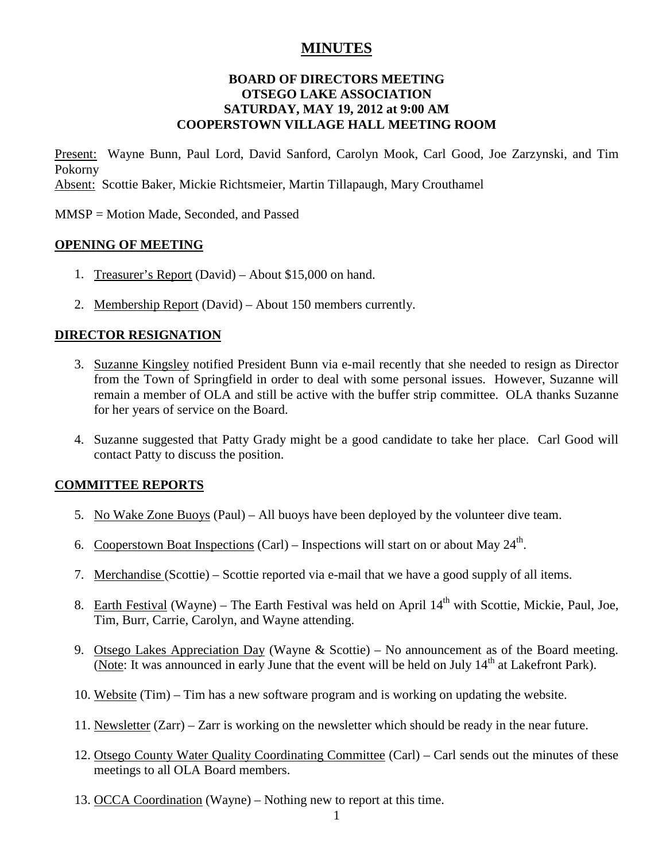# **MINUTES**

### **BOARD OF DIRECTORS MEETING OTSEGO LAKE ASSOCIATION SATURDAY, MAY 19, 2012 at 9:00 AM COOPERSTOWN VILLAGE HALL MEETING ROOM**

Present: Wayne Bunn, Paul Lord, David Sanford, Carolyn Mook, Carl Good, Joe Zarzynski, and Tim Pokorny Absent: Scottie Baker, Mickie Richtsmeier, Martin Tillapaugh, Mary Crouthamel

MMSP = Motion Made, Seconded, and Passed

### **OPENING OF MEETING**

- 1. Treasurer's Report (David) About \$15,000 on hand.
- 2. Membership Report (David) About 150 members currently.

### **DIRECTOR RESIGNATION**

- 3. Suzanne Kingsley notified President Bunn via e-mail recently that she needed to resign as Director from the Town of Springfield in order to deal with some personal issues. However, Suzanne will remain a member of OLA and still be active with the buffer strip committee. OLA thanks Suzanne for her years of service on the Board.
- 4. Suzanne suggested that Patty Grady might be a good candidate to take her place. Carl Good will contact Patty to discuss the position.

#### **COMMITTEE REPORTS**

- 5. No Wake Zone Buoys (Paul) All buoys have been deployed by the volunteer dive team.
- 6. Cooperstown Boat Inspections (Carl) Inspections will start on or about May  $24^{\text{th}}$ .
- 7. Merchandise (Scottie) Scottie reported via e-mail that we have a good supply of all items.
- 8. Earth Festival (Wayne) The Earth Festival was held on April  $14<sup>th</sup>$  with Scottie, Mickie, Paul, Joe, Tim, Burr, Carrie, Carolyn, and Wayne attending.
- 9. Otsego Lakes Appreciation Day (Wayne & Scottie) No announcement as of the Board meeting. (Note: It was announced in early June that the event will be held on July  $14<sup>th</sup>$  at Lakefront Park).
- 10. Website (Tim) Tim has a new software program and is working on updating the website.
- 11. Newsletter (Zarr) Zarr is working on the newsletter which should be ready in the near future.
- 12. Otsego County Water Quality Coordinating Committee (Carl) Carl sends out the minutes of these meetings to all OLA Board members.
- 13. OCCA Coordination (Wayne) Nothing new to report at this time.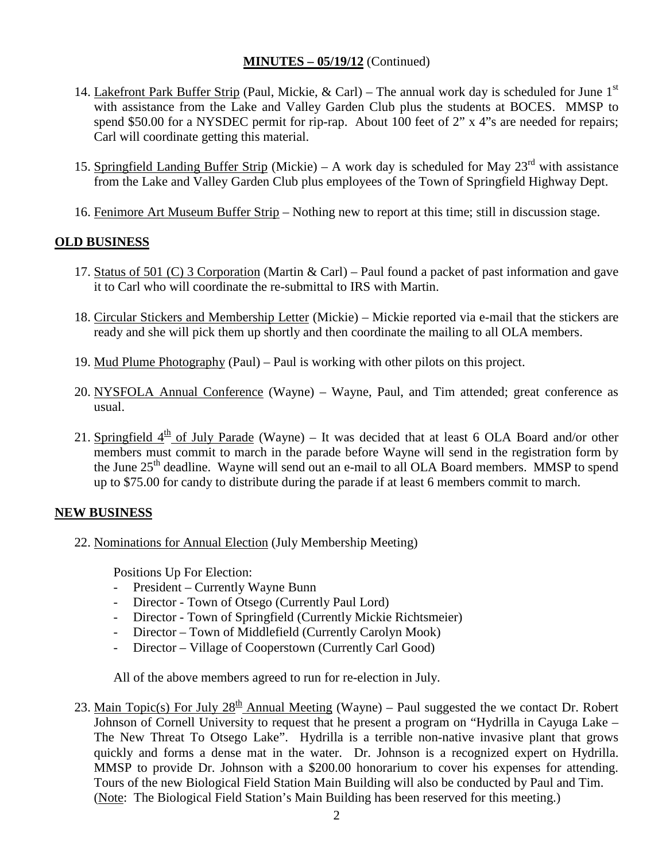## **MINUTES – 05/19/12** (Continued)

- 14. Lakefront Park Buffer Strip (Paul, Mickie, & Carl) The annual work day is scheduled for June 1<sup>st</sup> with assistance from the Lake and Valley Garden Club plus the students at BOCES. MMSP to spend \$50.00 for a NYSDEC permit for rip-rap. About 100 feet of 2" x 4"s are needed for repairs; Carl will coordinate getting this material.
- 15. Springfield Landing Buffer Strip (Mickie) A work day is scheduled for May  $23<sup>rd</sup>$  with assistance from the Lake and Valley Garden Club plus employees of the Town of Springfield Highway Dept.
- 16. Fenimore Art Museum Buffer Strip Nothing new to report at this time; still in discussion stage.

## **OLD BUSINESS**

- 17. Status of 501 (C) 3 Corporation (Martin & Carl) Paul found a packet of past information and gave it to Carl who will coordinate the re-submittal to IRS with Martin.
- 18. Circular Stickers and Membership Letter (Mickie) Mickie reported via e-mail that the stickers are ready and she will pick them up shortly and then coordinate the mailing to all OLA members.
- 19. Mud Plume Photography (Paul) Paul is working with other pilots on this project.
- 20. NYSFOLA Annual Conference (Wayne) Wayne, Paul, and Tim attended; great conference as usual.
- 21. Springfield  $4<sup>th</sup>$  of July Parade (Wayne) It was decided that at least 6 OLA Board and/or other members must commit to march in the parade before Wayne will send in the registration form by the June  $25<sup>th</sup>$  deadline. Wayne will send out an e-mail to all OLA Board members. MMSP to spend up to \$75.00 for candy to distribute during the parade if at least 6 members commit to march.

## **NEW BUSINESS**

22. Nominations for Annual Election (July Membership Meeting)

Positions Up For Election:

- President Currently Wayne Bunn
- Director Town of Otsego (Currently Paul Lord)
- Director Town of Springfield (Currently Mickie Richtsmeier)
- Director Town of Middlefield (Currently Carolyn Mook)
- Director Village of Cooperstown (Currently Carl Good)

All of the above members agreed to run for re-election in July.

23. Main Topic(s) For July  $28<sup>th</sup>$  Annual Meeting (Wayne) – Paul suggested the we contact Dr. Robert Johnson of Cornell University to request that he present a program on "Hydrilla in Cayuga Lake – The New Threat To Otsego Lake". Hydrilla is a terrible non-native invasive plant that grows quickly and forms a dense mat in the water. Dr. Johnson is a recognized expert on Hydrilla. MMSP to provide Dr. Johnson with a \$200.00 honorarium to cover his expenses for attending. Tours of the new Biological Field Station Main Building will also be conducted by Paul and Tim. (Note: The Biological Field Station's Main Building has been reserved for this meeting.)